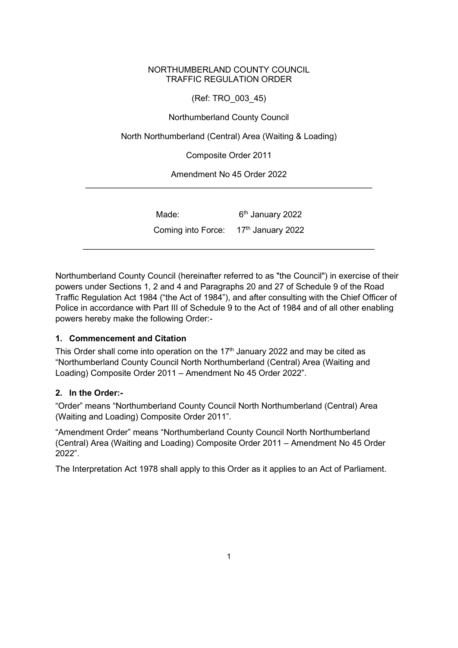### NORTHUMBERLAND COUNTY COUNCIL TRAFFIC REGULATION ORDER

(Ref: TRO\_003\_45)

Northumberland County Council

North Northumberland (Central) Area (Waiting & Loading)

Composite Order 2011

Amendment No 45 Order 2022 \_\_\_\_\_\_\_\_\_\_\_\_\_\_\_\_\_\_\_\_\_\_\_\_\_\_\_\_\_\_\_\_\_\_\_\_\_\_\_\_\_\_\_\_\_\_\_\_\_\_\_\_\_\_\_\_\_\_\_\_\_

| Coming into Force: $17th$ January 2022 | Made: | 6 <sup>th</sup> January 2022 |  |
|----------------------------------------|-------|------------------------------|--|
|                                        |       |                              |  |

Northumberland County Council (hereinafter referred to as "the Council") in exercise of their powers under Sections 1, 2 and 4 and Paragraphs 20 and 27 of Schedule 9 of the Road Traffic Regulation Act 1984 ("the Act of 1984"), and after consulting with the Chief Officer of Police in accordance with Part III of Schedule 9 to the Act of 1984 and of all other enabling powers hereby make the following Order:-

### **1. Commencement and Citation**

This Order shall come into operation on the  $17<sup>th</sup>$  January 2022 and may be cited as "Northumberland County Council North Northumberland (Central) Area (Waiting and Loading) Composite Order 2011 – Amendment No 45 Order 2022".

### **2. In the Order:-**

"Order" means "Northumberland County Council North Northumberland (Central) Area (Waiting and Loading) Composite Order 2011".

"Amendment Order" means "Northumberland County Council North Northumberland (Central) Area (Waiting and Loading) Composite Order 2011 – Amendment No 45 Order 2022".

The Interpretation Act 1978 shall apply to this Order as it applies to an Act of Parliament.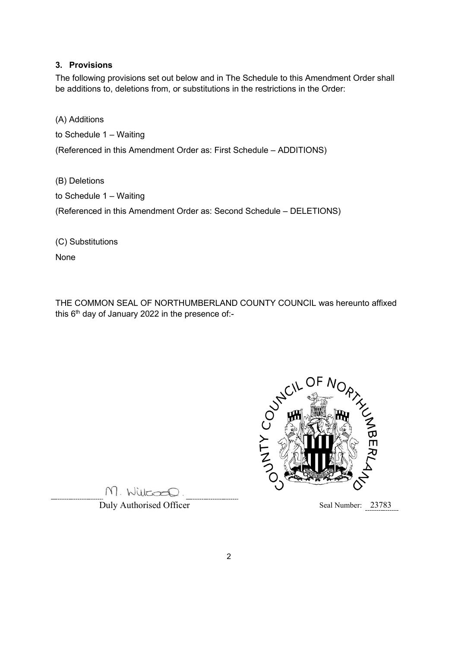### **3. Provisions**

The following provisions set out below and in The Schedule to this Amendment Order shall be additions to, deletions from, or substitutions in the restrictions in the Order:

(A) Additions

to Schedule 1 – Waiting

(Referenced in this Amendment Order as: First Schedule – ADDITIONS)

(B) Deletions to Schedule 1 – Waiting (Referenced in this Amendment Order as: Second Schedule – DELETIONS)

(C) Substitutions

None

THE COMMON SEAL OF NORTHUMBERLAND COUNTY COUNCIL was hereunto affixed this  $6<sup>th</sup>$  day of January 2022 in the presence of:-



M. Willcoco.

Duly Authorised Officer Seal Number: 23783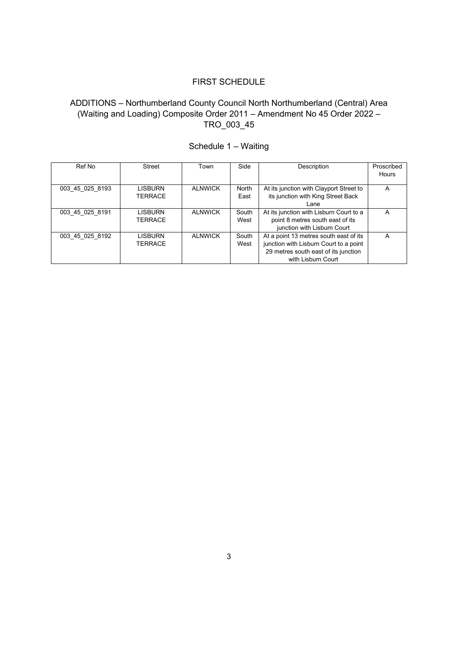## FIRST SCHEDULE

# ADDITIONS – Northumberland County Council North Northumberland (Central) Area (Waiting and Loading) Composite Order 2011 – Amendment No 45 Order 2022 – TRO\_003\_45

| Ref No          | Street         | Town           | Side  | Description                             | Proscribed |
|-----------------|----------------|----------------|-------|-----------------------------------------|------------|
|                 |                |                |       |                                         | Hours      |
|                 |                |                |       |                                         |            |
| 003 45 025 8193 | <b>LISBURN</b> | <b>ALNWICK</b> | North | At its junction with Clayport Street to | А          |
|                 | <b>TERRACE</b> |                | East  | its junction with King Street Back      |            |
|                 |                |                |       | Lane                                    |            |
| 003 45 025 8191 | <b>LISBURN</b> | <b>ALNWICK</b> | South | At its junction with Lisburn Court to a | А          |
|                 | <b>TERRACE</b> |                | West  | point 8 metres south east of its        |            |
|                 |                |                |       | junction with Lisburn Court             |            |
| 003 45 025 8192 | <b>LISBURN</b> | <b>ALNWICK</b> | South | At a point 13 metres south east of its  | A          |
|                 | <b>TERRACE</b> |                | West  | junction with Lisburn Court to a point  |            |
|                 |                |                |       | 29 metres south east of its junction    |            |
|                 |                |                |       | with Lisburn Court                      |            |

# Schedule 1 – Waiting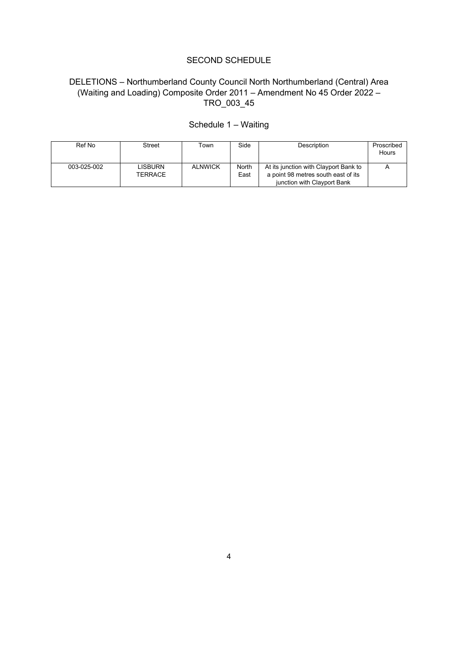#### SECOND SCHEDULE

# DELETIONS – Northumberland County Council North Northumberland (Central) Area (Waiting and Loading) Composite Order 2011 – Amendment No 45 Order 2022 – TRO\_003\_45

| Ref No      | Street             | Town           | Side          | <b>Description</b>                                                                                          | Proscribed<br>Hours |
|-------------|--------------------|----------------|---------------|-------------------------------------------------------------------------------------------------------------|---------------------|
| 003-025-002 | LISBURN<br>TERRACE | <b>ALNWICK</b> | North<br>East | At its junction with Clayport Bank to<br>a point 98 metres south east of its<br>junction with Clayport Bank |                     |

# Schedule 1 – Waiting